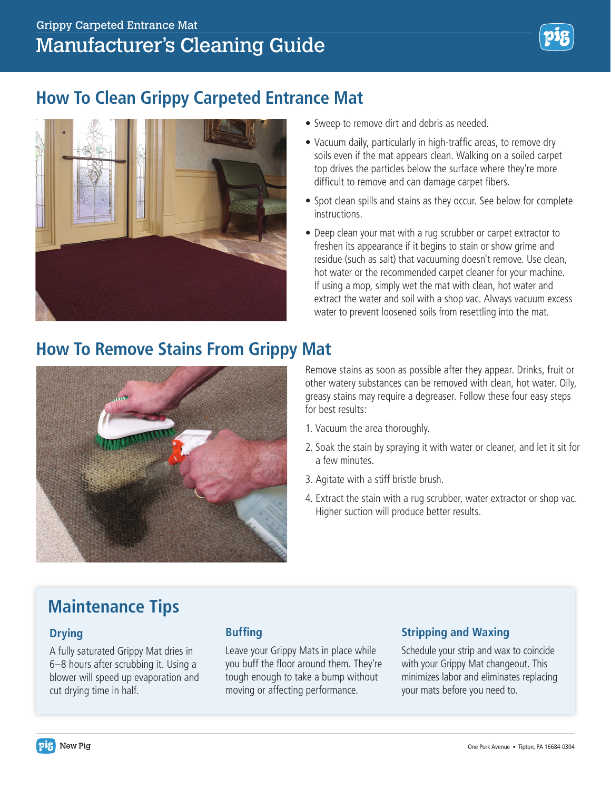## **How To Clean Grippy Carpeted Entrance Mat**



- Sweep to remove dirt and debris as needed.
- Vacuum daily, particularly in high-traffic areas, to remove dry soils even if the mat appears clean. Walking on a soiled carpet top drives the particles below the surface where they're more difficult to remove and can damage carpet fibers.
- Spot clean spills and stains as they occur. See below for complete instructions.
- Deep clean your mat with a rug scrubber or carpet extractor to freshen its appearance if it begins to stain or show grime and residue (such as salt) that vacuuming doesn't remove. Use clean, hot water or the recommended carpet cleaner for your machine. If using a mop, simply wet the mat with clean, hot water and extract the water and soil with a shop vac. Always vacuum excess water to prevent loosened soils from resettling into the mat.

### **How To Remove Stains From Grippy Mat**



Remove stains as soon as possible after they appear. Drinks, fruit or other watery substances can be removed with clean, hot water. Oily, greasy stains may require a degreaser. Follow these four easy steps for best results:

- 1. Vacuum the area thoroughly.
- 2. Soak the stain by spraying it with water or cleaner, and let it sit for a few minutes.
- 3. Agitate with a stiff bristle brush.
- 4. Extract the stain with a rug scrubber, water extractor or shop vac. Higher suction will produce better results.

# **Maintenance Tips**

### **Drying**

A fully saturated Grippy Mat dries in 6–8 hours after scrubbing it. Using a blower will speed up evaporation and cut drying time in half.

### **Buffing**

Leave your Grippy Mats in place while you buff the floor around them. They're tough enough to take a bump without moving or affecting performance.

### **Stripping and Waxing**

Schedule your strip and wax to coincide with your Grippy Mat changeout. This minimizes labor and eliminates replacing your mats before you need to.